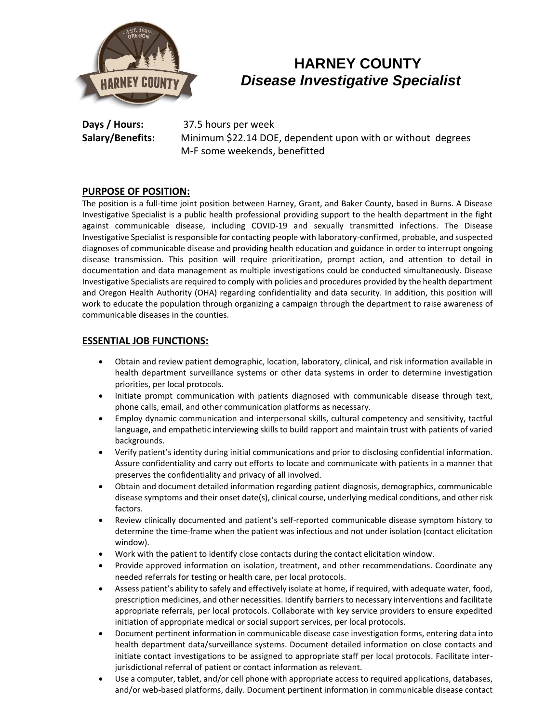

# **HARNEY COUNTY** *Disease Investigative Specialist*

**Days / Hours:** 37.5 hours per week **Salary/Benefits:** Minimum \$22.14 DOE, dependent upon with or without degrees M-F some weekends, benefitted

#### **PURPOSE OF POSITION:**

The position is a full-time joint position between Harney, Grant, and Baker County, based in Burns. A Disease Investigative Specialist is a public health professional providing support to the health department in the fight against communicable disease, including COVID-19 and sexually transmitted infections. The Disease Investigative Specialist is responsible for contacting people with laboratory-confirmed, probable, and suspected diagnoses of communicable disease and providing health education and guidance in order to interrupt ongoing disease transmission. This position will require prioritization, prompt action, and attention to detail in documentation and data management as multiple investigations could be conducted simultaneously. Disease Investigative Specialists are required to comply with policies and procedures provided by the health department and Oregon Health Authority (OHA) regarding confidentiality and data security. In addition, this position will work to educate the population through organizing a campaign through the department to raise awareness of communicable diseases in the counties.

## **ESSENTIAL JOB FUNCTIONS:**

- Obtain and review patient demographic, location, laboratory, clinical, and risk information available in health department surveillance systems or other data systems in order to determine investigation priorities, per local protocols.
- Initiate prompt communication with patients diagnosed with communicable disease through text, phone calls, email, and other communication platforms as necessary.
- Employ dynamic communication and interpersonal skills, cultural competency and sensitivity, tactful language, and empathetic interviewing skills to build rapport and maintain trust with patients of varied backgrounds.
- Verify patient's identity during initial communications and prior to disclosing confidential information. Assure confidentiality and carry out efforts to locate and communicate with patients in a manner that preserves the confidentiality and privacy of all involved.
- Obtain and document detailed information regarding patient diagnosis, demographics, communicable disease symptoms and their onset date(s), clinical course, underlying medical conditions, and other risk factors.
- Review clinically documented and patient's self-reported communicable disease symptom history to determine the time-frame when the patient was infectious and not under isolation (contact elicitation window).
- Work with the patient to identify close contacts during the contact elicitation window.
- Provide approved information on isolation, treatment, and other recommendations. Coordinate any needed referrals for testing or health care, per local protocols.
- Assess patient's ability to safely and effectively isolate at home, if required, with adequate water, food, prescription medicines, and other necessities. Identify barriers to necessary interventions and facilitate appropriate referrals, per local protocols. Collaborate with key service providers to ensure expedited initiation of appropriate medical or social support services, per local protocols.
- Document pertinent information in communicable disease case investigation forms, entering data into health department data/surveillance systems. Document detailed information on close contacts and initiate contact investigations to be assigned to appropriate staff per local protocols. Facilitate interjurisdictional referral of patient or contact information as relevant.
- Use a computer, tablet, and/or cell phone with appropriate access to required applications, databases, and/or web-based platforms, daily. Document pertinent information in communicable disease contact